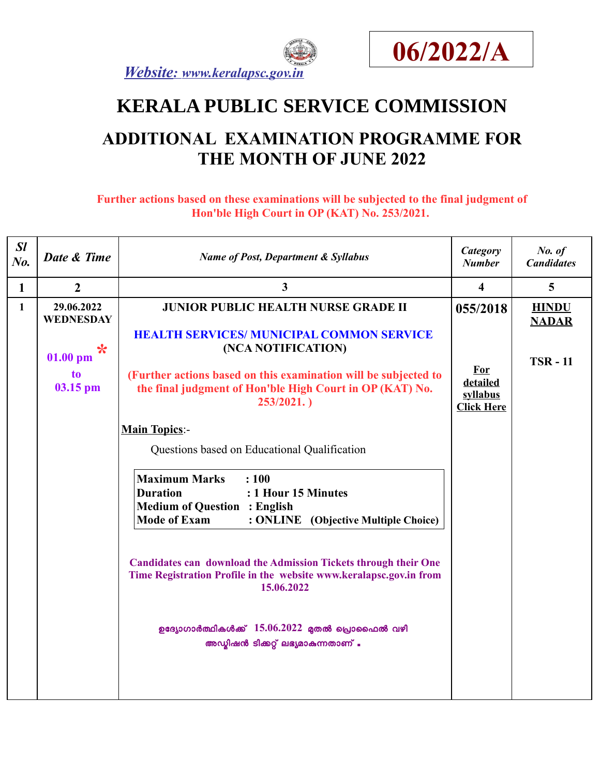



# **KERALA PUBLIC SERVICE COMMISSION**

## **ADDITIONAL EXAMINATION PROGRAMME FOR THE MONTH OF JUNE 2022**

**Further actions based on these examinations will be subjected to the final judgment of Hon'ble High Court in OP (KAT) No. 253/2021.** 

| SI<br>No.    | Date & Time                                                                | <b>Name of Post, Department &amp; Syllabus</b>                                                                                                                                                                                                                                                                                                                                                                                                                                                                                                                                                                                                                                                                                                                                     | Category<br><b>Number</b>                                           | No. of<br><b>Candidates</b>                   |
|--------------|----------------------------------------------------------------------------|------------------------------------------------------------------------------------------------------------------------------------------------------------------------------------------------------------------------------------------------------------------------------------------------------------------------------------------------------------------------------------------------------------------------------------------------------------------------------------------------------------------------------------------------------------------------------------------------------------------------------------------------------------------------------------------------------------------------------------------------------------------------------------|---------------------------------------------------------------------|-----------------------------------------------|
| $\mathbf{1}$ | $\overline{2}$                                                             | $\overline{3}$                                                                                                                                                                                                                                                                                                                                                                                                                                                                                                                                                                                                                                                                                                                                                                     | $\overline{\mathbf{4}}$                                             | $\overline{5}$                                |
| $\mathbf{1}$ | 29.06.2022<br><b>WEDNESDAY</b><br>$\ast$<br>$01.00$ pm<br>to<br>$03.15$ pm | <b>JUNIOR PUBLIC HEALTH NURSE GRADE II</b><br><b>HEALTH SERVICES/ MUNICIPAL COMMON SERVICE</b><br>(NCA NOTIFICATION)<br>(Further actions based on this examination will be subjected to<br>the final judgment of Hon'ble High Court in OP (KAT) No.<br>253/2021.<br><b>Main Topics:-</b><br>Questions based on Educational Qualification<br><b>Maximum Marks</b><br>: 100<br><b>Duration</b><br>: 1 Hour 15 Minutes<br><b>Medium of Question : English</b><br><b>Mode of Exam</b><br>: ONLINE (Objective Multiple Choice)<br><b>Candidates can download the Admission Tickets through their One</b><br>Time Registration Profile in the website www.keralapsc.gov.in from<br>15.06.2022<br>ഉദ്യോഗാർത്ഥികൾക്ക് $15.06.2022$ മുതൽ പ്രൊഫൈൽ വഴി<br>അഡ്യിഷൻ ടിക്കറ്റ് ലഭ്യമാകുന്നതാണ് . | 055/2018<br><b>For</b><br>detailed<br>syllabus<br><b>Click Here</b> | <b>HINDU</b><br><b>NADAR</b><br><b>TSR-11</b> |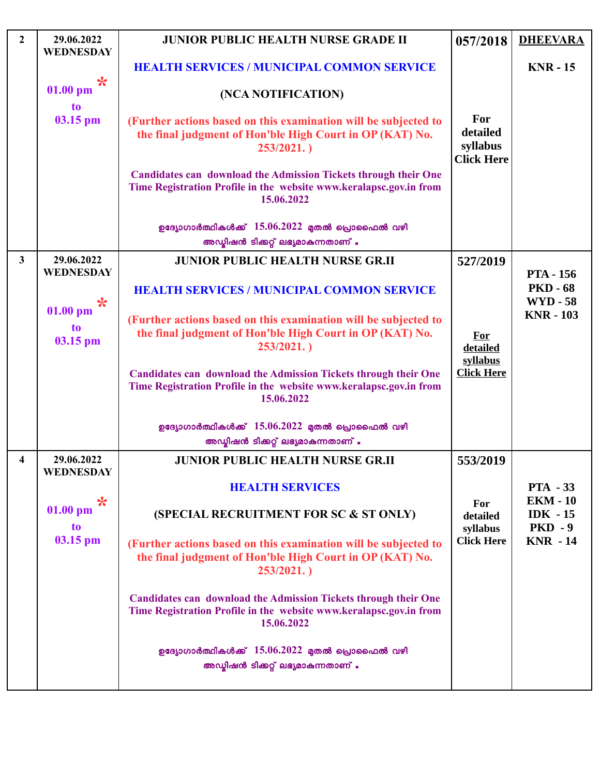| $\overline{2}$ | 29.06.2022<br><b>WEDNESDAY</b> | <b>JUNIOR PUBLIC HEALTH NURSE GRADE II</b>                                                                                                                 | 057/2018                                         | <b>DHEEVARA</b>                            |
|----------------|--------------------------------|------------------------------------------------------------------------------------------------------------------------------------------------------------|--------------------------------------------------|--------------------------------------------|
|                |                                | <b>HEALTH SERVICES / MUNICIPAL COMMON SERVICE</b>                                                                                                          |                                                  | <b>KNR - 15</b>                            |
|                | $\ast$<br>$01.00$ pm<br>to     | (NCA NOTIFICATION)                                                                                                                                         |                                                  |                                            |
|                | 03.15 pm                       | (Further actions based on this examination will be subjected to<br>the final judgment of Hon'ble High Court in OP (KAT) No.<br>253/2021.                   | For<br>detailed<br>syllabus<br><b>Click Here</b> |                                            |
|                |                                | <b>Candidates can download the Admission Tickets through their One</b><br>Time Registration Profile in the website www.keralapsc.gov.in from<br>15.06.2022 |                                                  |                                            |
|                |                                | ഉദ്യോഗാർത്ഥികൾക്ക് $15.06.2022$ മുതൽ പ്രൊഫൈൽ വഴി<br>അഡ്യിഷൻ ടിക്കറ്റ് ലഭ്യമാകുന്നതാണ് .                                                                    |                                                  |                                            |
| $\mathbf{3}$   | 29.06.2022<br><b>WEDNESDAY</b> | <b>JUNIOR PUBLIC HEALTH NURSE GR.II</b>                                                                                                                    | 527/2019                                         | <b>PTA - 156</b>                           |
|                | $\ast$                         | <b>HEALTH SERVICES / MUNICIPAL COMMON SERVICE</b>                                                                                                          |                                                  | <b>PKD - 68</b><br><b>WYD - 58</b>         |
|                | $01.00$ pm<br>to<br>03.15 pm   | (Further actions based on this examination will be subjected to<br>the final judgment of Hon'ble High Court in OP (KAT) No.<br>253/2021.                   | For<br>detailed                                  | <b>KNR - 103</b>                           |
|                |                                | <b>Candidates can download the Admission Tickets through their One</b><br>Time Registration Profile in the website www.keralapsc.gov.in from<br>15.06.2022 | syllabus<br><b>Click Here</b>                    |                                            |
|                |                                | ഉദ്യോഗാർത്ഥികൾക്ക് $15.06.2022$ മുതൽ പ്രൊഫൈൽ വഴി                                                                                                           |                                                  |                                            |
|                |                                | അഡ്യിഷൻ ടിക്കറ്റ് ലഭ്യമാകുന്നതാണ് .                                                                                                                        |                                                  |                                            |
| 4              | 29.06.2022<br>WEDNESDAY        | <b>JUNIOR PUBLIC HEALTH NURSE GR.II</b>                                                                                                                    | 553/2019                                         |                                            |
|                |                                | <b>HEALTH SERVICES</b>                                                                                                                                     |                                                  | <b>PTA - 33</b>                            |
|                | $\ast$<br>$01.00$ pm<br>to     | (SPECIAL RECRUITMENT FOR SC & ST ONLY)                                                                                                                     | For<br>detailed<br>syllabus                      | <b>EKM - 10</b><br>$IDK - 15$<br>$PKD - 9$ |
|                | 03.15 pm                       | (Further actions based on this examination will be subjected to<br>the final judgment of Hon'ble High Court in OP (KAT) No.<br>253/2021.                   | <b>Click Here</b>                                | <b>KNR - 14</b>                            |
|                |                                | <b>Candidates can download the Admission Tickets through their One</b><br>Time Registration Profile in the website www.keralapsc.gov.in from<br>15.06.2022 |                                                  |                                            |
|                |                                | ഉദ്യോഗാർത്ഥികൾക്ക് $15.06.2022$ മുതൽ പ്രൊഫൈൽ വഴി<br>അഡ്യിഷൻ ടിക്കറ്റ് ലഭ്യമാകുന്നതാണ് .                                                                    |                                                  |                                            |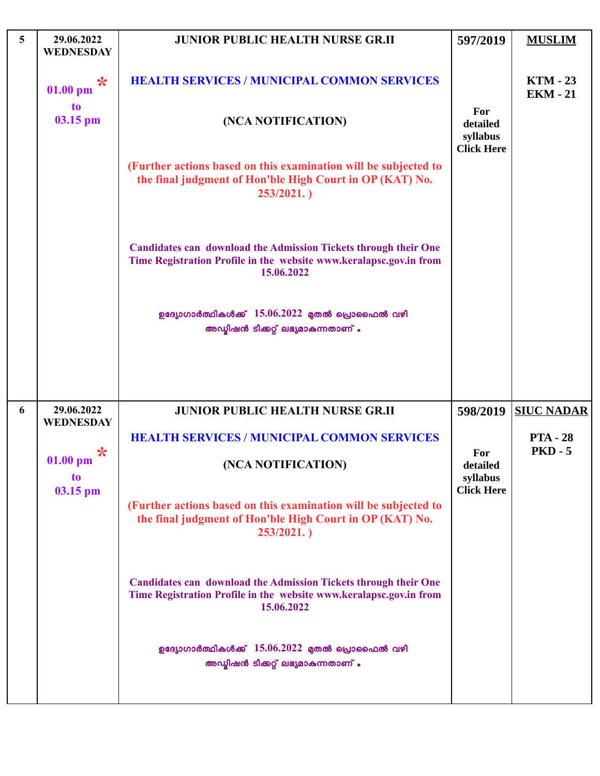| 5 | 29.06.2022<br><b>WEDNESDAY</b>           | <b>JUNIOR PUBLIC HEALTH NURSE GR.II</b>                                                                                                                    | 597/2019                                         | <b>MUSLIM</b>                      |
|---|------------------------------------------|------------------------------------------------------------------------------------------------------------------------------------------------------------|--------------------------------------------------|------------------------------------|
|   | $\ast$<br>$01.00$ pm<br>to<br>03.15 pm   | <b>HEALTH SERVICES / MUNICIPAL COMMON SERVICES</b><br>(NCA NOTIFICATION)                                                                                   | For                                              | <b>KTM - 23</b><br><b>EKM - 21</b> |
|   |                                          |                                                                                                                                                            | detailed<br>syllabus<br><b>Click Here</b>        |                                    |
|   |                                          | (Further actions based on this examination will be subjected to<br>the final judgment of Hon'ble High Court in OP (KAT) No.<br>253/2021.                   |                                                  |                                    |
|   |                                          | <b>Candidates can download the Admission Tickets through their One</b><br>Time Registration Profile in the website www.keralapsc.gov.in from<br>15.06.2022 |                                                  |                                    |
|   |                                          | ഉദ്യോഗാർത്ഥികൾക്ക് $15.06.2022$ മുതൽ പ്രൊഫൈൽ വഴി<br>അഡ്യിഷൻ ടിക്കറ്റ് ലഭ്യമാകുന്നതാണ് .                                                                    |                                                  |                                    |
| 6 | 29.06.2022                               | <b>JUNIOR PUBLIC HEALTH NURSE GR.II</b>                                                                                                                    | 598/2019                                         | <b>SIUC NADAR</b>                  |
|   | <b>WEDNESDAY</b>                         | <b>HEALTH SERVICES / MUNICIPAL COMMON SERVICES</b>                                                                                                         |                                                  | <b>PTA - 28</b>                    |
|   | ☆<br>$01.00$ pm<br><b>to</b><br>03.15 pm | (NCA NOTIFICATION)                                                                                                                                         | For<br>detailed<br>syllabus<br><b>Click Here</b> | <b>PKD - 5</b>                     |
|   |                                          | (Further actions based on this examination will be subjected to<br>the final judgment of Hon'ble High Court in OP (KAT) No.<br>253/2021.                   |                                                  |                                    |
|   |                                          | <b>Candidates can download the Admission Tickets through their One</b><br>Time Registration Profile in the website www.keralapsc.gov.in from<br>15.06.2022 |                                                  |                                    |
|   |                                          | ഉദ്യോഗാർത്ഥികൾക്ക് $15.06.2022$ മുതൽ പ്രൊഫൈൽ വഴി<br>അഡ്യിഷൻ ടിക്കറ്റ് ലഭ്യമാകുന്നതാണ് .                                                                    |                                                  |                                    |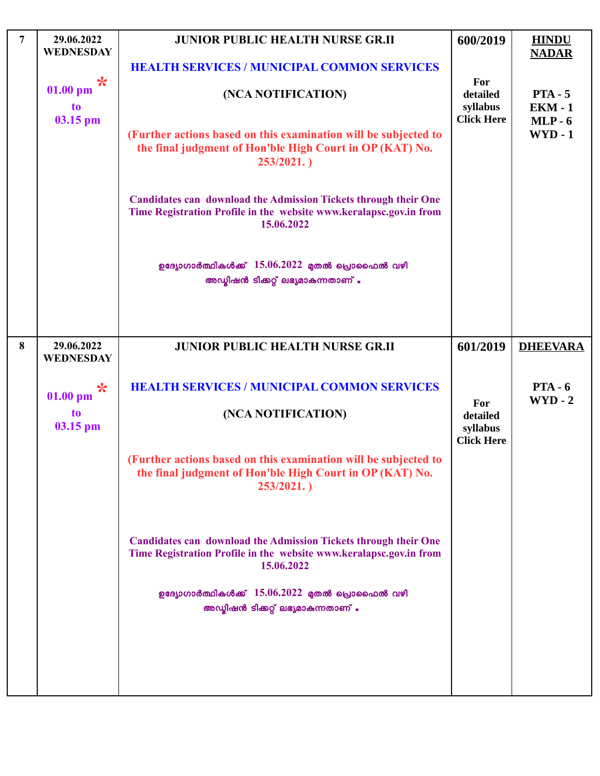| $\overline{7}$ | 29.06.2022<br><b>WEDNESDAY</b>         | <b>JUNIOR PUBLIC HEALTH NURSE GR.II</b>                                                                                                                    | 600/2019                                         | <b>HINDU</b><br><b>NADAR</b>             |
|----------------|----------------------------------------|------------------------------------------------------------------------------------------------------------------------------------------------------------|--------------------------------------------------|------------------------------------------|
|                |                                        | <b>HEALTH SERVICES / MUNICIPAL COMMON SERVICES</b>                                                                                                         |                                                  |                                          |
|                | $\ast$<br>$01.00$ pm<br>to<br>03.15 pm | (NCA NOTIFICATION)                                                                                                                                         | For<br>detailed<br>syllabus<br><b>Click Here</b> | $PTA - 5$<br><b>EKM - 1</b><br>$MLP - 6$ |
|                |                                        | (Further actions based on this examination will be subjected to<br>the final judgment of Hon'ble High Court in OP (KAT) No.<br>253/2021.                   |                                                  | $WYD - 1$                                |
|                |                                        | <b>Candidates can download the Admission Tickets through their One</b><br>Time Registration Profile in the website www.keralapsc.gov.in from<br>15.06.2022 |                                                  |                                          |
|                |                                        | ഉദ്യോഗാർത്ഥികൾക്ക് $15.06.2022$ മുതൽ പ്രൊഫൈൽ വഴി<br>അഡ്വിഷൻ ടിക്കറ്റ് ലഭ്യമാകുന്നതാണ് .                                                                    |                                                  |                                          |
| 8              | 29.06.2022                             | <b>JUNIOR PUBLIC HEALTH NURSE GR.II</b>                                                                                                                    | 601/2019                                         | <b>DHEEVARA</b>                          |
|                | <b>WEDNESDAY</b><br>$\ast$             | <b>HEALTH SERVICES / MUNICIPAL COMMON SERVICES</b>                                                                                                         |                                                  | $PTA - 6$                                |
|                | $01.00$ pm<br>to<br>03.15 pm           | (NCA NOTIFICATION)                                                                                                                                         | For<br>detailed<br>syllabus<br><b>Click Here</b> | $WYD - 2$                                |
|                |                                        | (Further actions based on this examination will be subjected to<br>the final judgment of Hon'ble High Court in OP (KAT) No.<br>253/2021.                   |                                                  |                                          |
|                |                                        | <b>Candidates can download the Admission Tickets through their One</b><br>Time Registration Profile in the website www.keralapsc.gov.in from<br>15.06.2022 |                                                  |                                          |
|                |                                        | ഉദ്യോഗാർത്ഥികൾക്ക് $15.06.2022$ മുതൽ പ്രൊഫൈൽ വഴി<br>അഡ്യിഷൻ ടിക്കറ്റ് ലഭ്യമാകുന്നതാണ് .                                                                    |                                                  |                                          |
|                |                                        |                                                                                                                                                            |                                                  |                                          |
|                |                                        |                                                                                                                                                            |                                                  |                                          |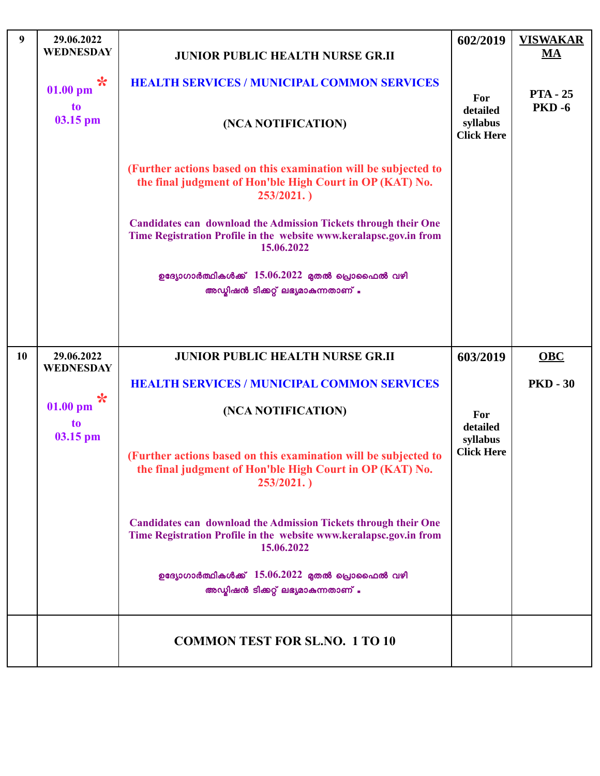| 9  | 29.06.2022<br><b>WEDNESDAY</b> | <b>JUNIOR PUBLIC HEALTH NURSE GR.II</b>                                                                                                                    | 602/2019                                  | <b>VISWAKAR</b><br>MA |
|----|--------------------------------|------------------------------------------------------------------------------------------------------------------------------------------------------------|-------------------------------------------|-----------------------|
|    | $\ast$<br>$01.00$ pm           | <b>HEALTH SERVICES / MUNICIPAL COMMON SERVICES</b>                                                                                                         | For                                       | <b>PTA</b> - 25       |
|    | <b>to</b><br>03.15 pm          | (NCA NOTIFICATION)                                                                                                                                         | detailed<br>syllabus<br><b>Click Here</b> | <b>PKD-6</b>          |
|    |                                | (Further actions based on this examination will be subjected to<br>the final judgment of Hon'ble High Court in OP (KAT) No.<br>253/2021.                   |                                           |                       |
|    |                                | <b>Candidates can download the Admission Tickets through their One</b><br>Time Registration Profile in the website www.keralapsc.gov.in from<br>15.06.2022 |                                           |                       |
|    |                                | ഉദ്യോഗാർത്ഥികൾക്ക് $15.06.2022$ മുതൽ പ്രൊഫൈൽ വഴി<br>അഡ്യിഷൻ ടിക്കറ്റ് ലഭ്യമാകുന്നതാണ് .                                                                    |                                           |                       |
|    |                                |                                                                                                                                                            |                                           |                       |
| 10 | 29.06.2022<br><b>WEDNESDAY</b> | <b>JUNIOR PUBLIC HEALTH NURSE GR.II</b>                                                                                                                    | 603/2019                                  | OBC                   |
|    | $\star$                        | <b>HEALTH SERVICES / MUNICIPAL COMMON SERVICES</b>                                                                                                         |                                           | <b>PKD - 30</b>       |
|    | $01.00$ pm<br>to<br>03.15 pm   | (NCA NOTIFICATION)                                                                                                                                         | For<br>detailed<br>syllabus               |                       |
|    |                                | (Further actions based on this examination will be subjected to<br>the final judgment of Hon'ble High Court in OP (KAT) No.<br>253/2021.                   | <b>Click Here</b>                         |                       |
|    |                                | <b>Candidates can download the Admission Tickets through their One</b><br>Time Registration Profile in the website www.keralapsc.gov.in from<br>15.06.2022 |                                           |                       |
|    |                                | ഉദ്യോഗാർത്ഥികൾക്ക് $15.06.2022$ മുതൽ പ്രൊഫൈൽ വഴി<br>അഡ്വിഷൻ ടിക്കറ്റ് ലഭ്യമാകുന്നതാണ് .                                                                    |                                           |                       |
|    |                                | <b>COMMON TEST FOR SL.NO. 1 TO 10</b>                                                                                                                      |                                           |                       |

 $\mathsf{L}$